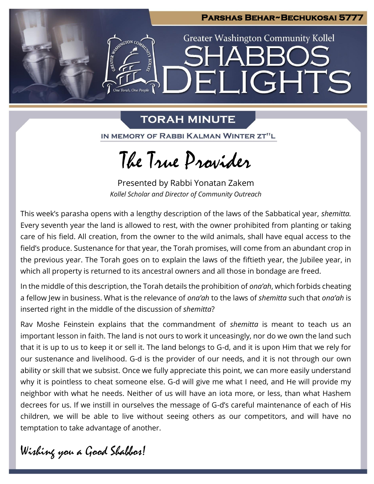

# **TORAH MINUTE**

IN MEMORY OF RABBI KALMAN WINTER ZT"L

The True Provider

Presented by Rabbi Yonatan Zakem *Kollel Scholar and Director of Community Outreach*

This week's parasha opens with a lengthy description of the laws of the Sabbatical year, *shemitta.* Every seventh year the land is allowed to rest, with the owner prohibited from planting or taking care of his field. All creation, from the owner to the wild animals, shall have equal access to the field's produce. Sustenance for that year, the Torah promises, will come from an abundant crop in the previous year. The Torah goes on to explain the laws of the fiftieth year, the Jubilee year, in which all property is returned to its ancestral owners and all those in bondage are freed.

In the middle of this description, the Torah details the prohibition of *ona'ah*, which forbids cheating a fellow Jew in business. What is the relevance of *ona'ah* to the laws of *shemitta* such that *ona'ah* is inserted right in the middle of the discussion of *shemitta*?

Rav Moshe Feinstein explains that the commandment of *shemitta* is meant to teach us an important lesson in faith. The land is not ours to work it unceasingly, nor do we own the land such that it is up to us to keep it or sell it. The land belongs to G-d, and it is upon Him that we rely for our sustenance and livelihood. G-d is the provider of our needs, and it is not through our own ability or skill that we subsist. Once we fully appreciate this point, we can more easily understand why it is pointless to cheat someone else. G-d will give me what I need, and He will provide my neighbor with what he needs. Neither of us will have an iota more, or less, than what Hashem decrees for us. If we instill in ourselves the message of G-d's careful maintenance of each of His children, we will be able to live without seeing others as our competitors, and will have no temptation to take advantage of another.

Wishing you a Good Shabbos!